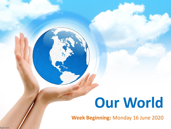# **Our World**

**Week Beginning:** Monday 16 June 2020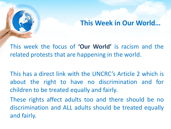### **This Week in Our World…**

This week the focus of **'Our World'** is racism and the related protests that are happening in the world.

This has a direct link with the UNCRC's Article 2 which is about the right to have no discrimination and for children to be treated equally and fairly.

These rights affect adults too and there should be no discrimination and ALL adults should be treated equally and fairly.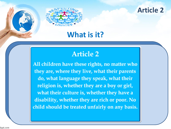

#### **Article 2**

### **What is it?**

### **Article 2**

All children have these rights, no matter who they are, where they live, what their parents do, what language they speak, what their religion is, whether they are a boy or girl, what their culture is, whether they have a disability, whether they are rich or poor. No child should be treated unfairly on any basis.

fppt.com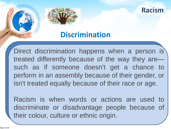

### **Discrimination**

Direct discrimination happens when a person is treated differently because of the way they are such as if someone doesn't get a chance to perform in an assembly because of their gender, or isn't treated equally because of their race or age.

Racism is when words or actions are used to discriminate or disadvantage people because of their colour, culture or ethnic origin.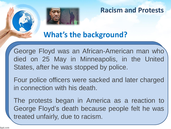

#### **Racism and Protests**

## **What's the background?**

George Floyd was an African-American man who died on 25 May in Minneapolis, in the United States, after he was stopped by police.

Four police officers were sacked and later charged in connection with his death.

The protests began in America as a reaction to George Floyd's death because people felt he was treated unfairly, due to racism.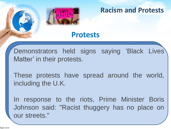

**Racism and Protests**

### **Protests**

Demonstrators held signs saying 'Black Lives Matter' in their protests.

These protests have spread around the world, including the U.K.

In response to the riots, Prime Minister Boris Johnson said: "Racist thuggery has no place on our streets."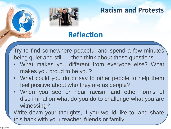

### **Racism and Protests**

### **Reflection**

Try to find somewhere peaceful and spend a few minutes being quiet and still … then think about these questions…

- What makes you different from everyone else? What makes you proud to be you?
- What could you do or say to other people to help them feel positive about who they are as people?
- When you see or hear racism and other forms of discrimination what do you do to challenge what you are witnessing?

Write down your thoughts, if you would like to, and share this back with your teacher, friends or family.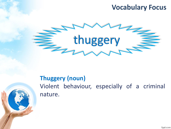### **Vocabulary Focus**



### **Thuggery (noun)**

Violent behaviour, especially of a criminal nature.